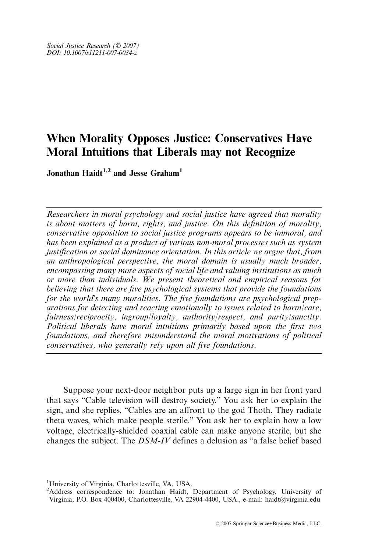# When Morality Opposes Justice: Conservatives Have Moral Intuitions that Liberals may not Recognize

Jonathan Haidt<sup>1,2</sup> and Jesse Graham<sup>1</sup>

Researchers in moral psychology and social justice have agreed that morality is about matters of harm, rights, and justice. On this definition of morality, conservative opposition to social justice programs appears to be immoral, and has been explained as a product of various non-moral processes such as system justification or social dominance orientation. In this article we argue that, from an anthropological perspective, the moral domain is usually much broader, encompassing many more aspects of social life and valuing institutions as much or more than individuals. We present theoretical and empirical reasons for believing that there are five psychological systems that provide the foundations for the world's many moralities. The five foundations are psychological preparations for detecting and reacting emotionally to issues related to harm/care, fairness/reciprocity, ingroup/loyalty, authority/respect, and purity/sanctity. Political liberals have moral intuitions primarily based upon the first two foundations, and therefore misunderstand the moral motivations of political conservatives, who generally rely upon all five foundations.

Suppose your next-door neighbor puts up a large sign in her front yard that says "Cable television will destroy society." You ask her to explain the sign, and she replies, "Cables are an affront to the god Thoth. They radiate theta waves, which make people sterile." You ask her to explain how a low voltage, electrically-shielded coaxial cable can make anyone sterile, but she changes the subject. The  $DSM-IV$  defines a delusion as "a false belief based

<sup>&</sup>lt;sup>1</sup>University of Virginia, Charlottesville, VA, USA.

<sup>&</sup>lt;sup>2</sup>Address correspondence to: Jonathan Haidt, Department of Psychology, University of Virginia, P.O. Box 400400, Charlottesville, VA 22904-4400, USA., e-mail: haidt@virginia.edu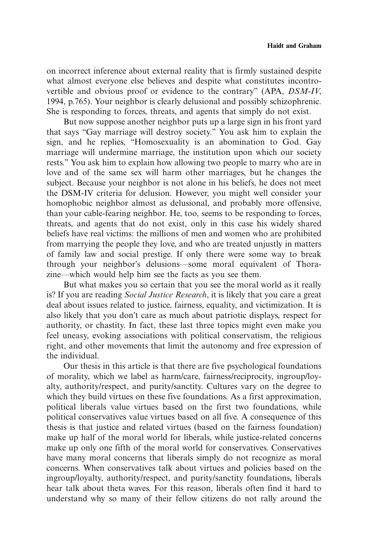on incorrect inference about external reality that is firmly sustained despite what almost everyone else believes and despite what constitutes incontrovertible and obvious proof or evidence to the contrary" (APA, DSM-IV, 1994, p.765). Your neighbor is clearly delusional and possibly schizophrenic. She is responding to forces, threats, and agents that simply do not exist.

But now suppose another neighbor puts up a large sign in his front yard that says "Gay marriage will destroy society." You ask him to explain the sign, and he replies, "Homosexuality is an abomination to God. Gay marriage will undermine marriage, the institution upon which our society rests." You ask him to explain how allowing two people to marry who are in love and of the same sex will harm other marriages, but he changes the subject. Because your neighbor is not alone in his beliefs, he does not meet the DSM-IV criteria for delusion. However, you might well consider your homophobic neighbor almost as delusional, and probably more offensive, than your cable-fearing neighbor. He, too, seems to be responding to forces, threats, and agents that do not exist, only in this case his widely shared beliefs have real victims: the millions of men and women who are prohibited from marrying the people they love, and who are treated unjustly in matters of family law and social prestige. If only there were some way to break through your neighbors delusions—some moral equivalent of Thorazine—which would help him see the facts as you see them.

But what makes you so certain that you see the moral world as it really is? If you are reading Social Justice Research, it is likely that you care a great deal about issues related to justice, fairness, equality, and victimization. It is also likely that you don't care as much about patriotic displays, respect for authority, or chastity. In fact, these last three topics might even make you feel uneasy, evoking associations with political conservatism, the religious right, and other movements that limit the autonomy and free expression of the individual.

Our thesis in this article is that there are five psychological foundations of morality, which we label as harm/care, fairness/reciprocity, ingroup/loyalty, authority/respect, and purity/sanctity. Cultures vary on the degree to which they build virtues on these five foundations. As a first approximation, political liberals value virtues based on the first two foundations, while political conservatives value virtues based on all five. A consequence of this thesis is that justice and related virtues (based on the fairness foundation) make up half of the moral world for liberals, while justice-related concerns make up only one fifth of the moral world for conservatives. Conservatives have many moral concerns that liberals simply do not recognize as moral concerns. When conservatives talk about virtues and policies based on the ingroup/loyalty, authority/respect, and purity/sanctity foundations, liberals hear talk about theta waves. For this reason, liberals often find it hard to understand why so many of their fellow citizens do not rally around the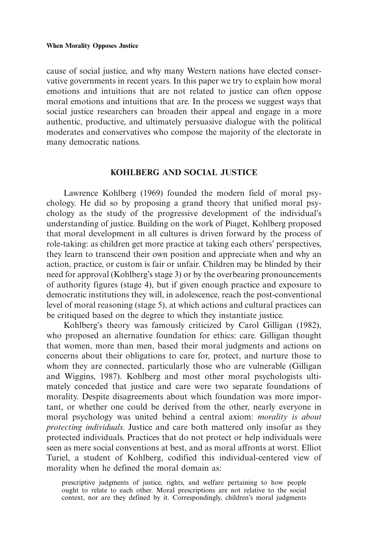#### When Morality Opposes Justice

cause of social justice, and why many Western nations have elected conservative governments in recent years. In this paper we try to explain how moral emotions and intuitions that are not related to justice can often oppose moral emotions and intuitions that are. In the process we suggest ways that social justice researchers can broaden their appeal and engage in a more authentic, productive, and ultimately persuasive dialogue with the political moderates and conservatives who compose the majority of the electorate in many democratic nations.

# KOHLBERG AND SOCIAL JUSTICE

Lawrence Kohlberg (1969) founded the modern field of moral psychology. He did so by proposing a grand theory that unified moral psychology as the study of the progressive development of the individual's understanding of justice. Building on the work of Piaget, Kohlberg proposed that moral development in all cultures is driven forward by the process of role-taking: as children get more practice at taking each others' perspectives, they learn to transcend their own position and appreciate when and why an action, practice, or custom is fair or unfair. Children may be blinded by their need for approval (Kohlberg's stage 3) or by the overbearing pronouncements of authority figures (stage 4), but if given enough practice and exposure to democratic institutions they will, in adolescence, reach the post-conventional level of moral reasoning (stage 5), at which actions and cultural practices can be critiqued based on the degree to which they instantiate justice.

Kohlberg's theory was famously criticized by Carol Gilligan (1982), who proposed an alternative foundation for ethics: care. Gilligan thought that women, more than men, based their moral judgments and actions on concerns about their obligations to care for, protect, and nurture those to whom they are connected, particularly those who are vulnerable (Gilligan and Wiggins, 1987). Kohlberg and most other moral psychologists ultimately conceded that justice and care were two separate foundations of morality. Despite disagreements about which foundation was more important, or whether one could be derived from the other, nearly everyone in moral psychology was united behind a central axiom: *morality is about* protecting individuals. Justice and care both mattered only insofar as they protected individuals. Practices that do not protect or help individuals were seen as mere social conventions at best, and as moral affronts at worst. Elliot Turiel, a student of Kohlberg, codified this individual-centered view of morality when he defined the moral domain as:

prescriptive judgments of justice, rights, and welfare pertaining to how people ought to relate to each other. Moral prescriptions are not relative to the social context, nor are they defined by it. Correspondingly, children's moral judgments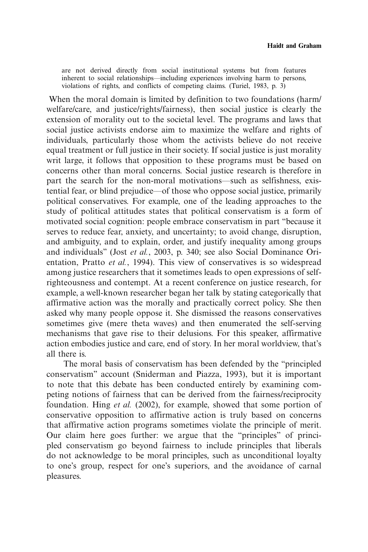are not derived directly from social institutional systems but from features inherent to social relationships—including experiences involving harm to persons, violations of rights, and conflicts of competing claims. (Turiel, 1983, p. 3)

When the moral domain is limited by definition to two foundations (harm/ welfare/care, and justice/rights/fairness), then social justice is clearly the extension of morality out to the societal level. The programs and laws that social justice activists endorse aim to maximize the welfare and rights of individuals, particularly those whom the activists believe do not receive equal treatment or full justice in their society. If social justice is just morality writ large, it follows that opposition to these programs must be based on concerns other than moral concerns. Social justice research is therefore in part the search for the non-moral motivations—such as selfishness, existential fear, or blind prejudice—of those who oppose social justice, primarily political conservatives. For example, one of the leading approaches to the study of political attitudes states that political conservatism is a form of motivated social cognition: people embrace conservatism in part "because it serves to reduce fear, anxiety, and uncertainty; to avoid change, disruption, and ambiguity, and to explain, order, and justify inequality among groups and individuals" (Jost et al., 2003, p. 340; see also Social Dominance Orientation, Pratto et al., 1994). This view of conservatives is so widespread among justice researchers that it sometimes leads to open expressions of selfrighteousness and contempt. At a recent conference on justice research, for example, a well-known researcher began her talk by stating categorically that affirmative action was the morally and practically correct policy. She then asked why many people oppose it. She dismissed the reasons conservatives sometimes give (mere theta waves) and then enumerated the self-serving mechanisms that gave rise to their delusions. For this speaker, affirmative action embodies justice and care, end of story. In her moral worldview, that's all there is.

The moral basis of conservatism has been defended by the "principled conservatism" account (Sniderman and Piazza, 1993), but it is important to note that this debate has been conducted entirely by examining competing notions of fairness that can be derived from the fairness/reciprocity foundation. Hing et al. (2002), for example, showed that some portion of conservative opposition to affirmative action is truly based on concerns that affirmative action programs sometimes violate the principle of merit. Our claim here goes further: we argue that the "principles" of principled conservatism go beyond fairness to include principles that liberals do not acknowledge to be moral principles, such as unconditional loyalty to one's group, respect for one's superiors, and the avoidance of carnal pleasures.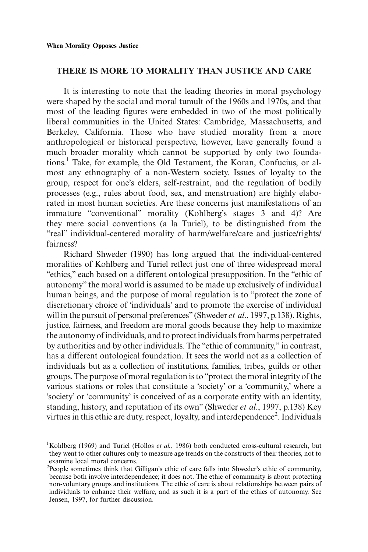## THERE IS MORE TO MORALITY THAN JUSTICE AND CARE

It is interesting to note that the leading theories in moral psychology were shaped by the social and moral tumult of the 1960s and 1970s, and that most of the leading figures were embedded in two of the most politically liberal communities in the United States: Cambridge, Massachusetts, and Berkeley, California. Those who have studied morality from a more anthropological or historical perspective, however, have generally found a much broader morality which cannot be supported by only two foundations.<sup>1</sup> Take, for example, the Old Testament, the Koran, Confucius, or almost any ethnography of a non-Western society. Issues of loyalty to the group, respect for one's elders, self-restraint, and the regulation of bodily processes (e.g., rules about food, sex, and menstruation) are highly elaborated in most human societies. Are these concerns just manifestations of an immature "conventional" morality (Kohlberg's stages 3 and 4)? Are they mere social conventions (a la Turiel), to be distinguished from the "real" individual-centered morality of harm/welfare/care and justice/rights/ fairness?

Richard Shweder (1990) has long argued that the individual-centered moralities of Kohlberg and Turiel reflect just one of three widespread moral "ethics," each based on a different ontological presupposition. In the "ethic of autonomy" the moral world is assumed to be made up exclusively of individual human beings, and the purpose of moral regulation is to "protect the zone of discretionary choice of 'individuals' and to promote the exercise of individual will in the pursuit of personal preferences" (Shweder *et al.*, 1997, p.138). Rights, justice, fairness, and freedom are moral goods because they help to maximize the autonomy of individuals, and to protect individuals from harms perpetrated by authorities and by other individuals. The "ethic of community," in contrast, has a different ontological foundation. It sees the world not as a collection of individuals but as a collection of institutions, families, tribes, guilds or other groups. The purpose of moral regulation is to "protect the moral integrity of the various stations or roles that constitute a 'society' or a 'community,' where a 'society' or 'community' is conceived of as a corporate entity with an identity, standing, history, and reputation of its own" (Shweder *et al.*, 1997, p.138) Key virtues in this ethic are duty, respect, loyalty, and interdependence<sup>2</sup>. Individuals

<sup>&</sup>lt;sup>1</sup>Kohlberg (1969) and Turiel (Hollos et al., 1986) both conducted cross-cultural research, but they went to other cultures only to measure age trends on the constructs of their theories, not to examine local moral concerns.

<sup>&</sup>lt;sup>2</sup>People sometimes think that Gilligan's ethic of care falls into Shweder's ethic of community, because both involve interdependence; it does not. The ethic of community is about protecting non-voluntary groups and institutions. The ethic of care is about relationships between pairs of individuals to enhance their welfare, and as such it is a part of the ethics of autonomy. See Jensen, 1997, for further discussion.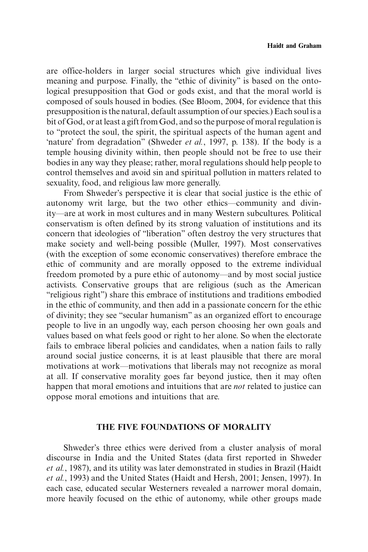are office-holders in larger social structures which give individual lives meaning and purpose. Finally, the "ethic of divinity" is based on the ontological presupposition that God or gods exist, and that the moral world is composed of souls housed in bodies. (See Bloom, 2004, for evidence that this presupposition is the natural, default assumption of our species.) Each soul is a bit of God, or at least a gift from God, and so the purpose of moral regulation is to "protect the soul, the spirit, the spiritual aspects of the human agent and 'nature' from degradation" (Shweder *et al.*, 1997, p. 138). If the body is a temple housing divinity within, then people should not be free to use their bodies in any way they please; rather, moral regulations should help people to control themselves and avoid sin and spiritual pollution in matters related to sexuality, food, and religious law more generally.

From Shweder's perspective it is clear that social justice is the ethic of autonomy writ large, but the two other ethics—community and divinity—are at work in most cultures and in many Western subcultures. Political conservatism is often defined by its strong valuation of institutions and its concern that ideologies of "liberation" often destroy the very structures that make society and well-being possible (Muller, 1997). Most conservatives (with the exception of some economic conservatives) therefore embrace the ethic of community and are morally opposed to the extreme individual freedom promoted by a pure ethic of autonomy—and by most social justice activists. Conservative groups that are religious (such as the American "religious right") share this embrace of institutions and traditions embodied in the ethic of community, and then add in a passionate concern for the ethic of divinity; they see "secular humanism" as an organized effort to encourage people to live in an ungodly way, each person choosing her own goals and values based on what feels good or right to her alone. So when the electorate fails to embrace liberal policies and candidates, when a nation fails to rally around social justice concerns, it is at least plausible that there are moral motivations at work—motivations that liberals may not recognize as moral at all. If conservative morality goes far beyond justice, then it may often happen that moral emotions and intuitions that are *not* related to justice can oppose moral emotions and intuitions that are.

#### THE FIVE FOUNDATIONS OF MORALITY

Shweder's three ethics were derived from a cluster analysis of moral discourse in India and the United States (data first reported in Shweder et al., 1987), and its utility was later demonstrated in studies in Brazil (Haidt et al., 1993) and the United States (Haidt and Hersh, 2001; Jensen, 1997). In each case, educated secular Westerners revealed a narrower moral domain, more heavily focused on the ethic of autonomy, while other groups made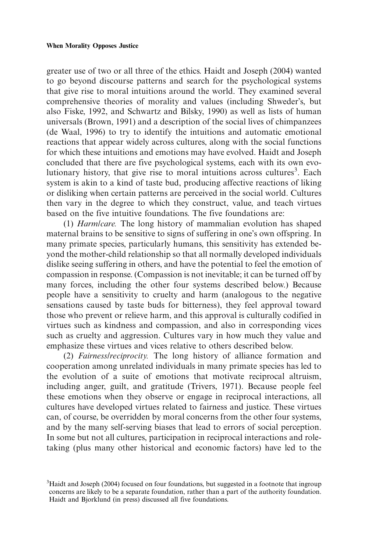greater use of two or all three of the ethics. Haidt and Joseph (2004) wanted to go beyond discourse patterns and search for the psychological systems that give rise to moral intuitions around the world. They examined several comprehensive theories of morality and values (including Shweder's, but also Fiske, 1992, and Schwartz and Bilsky, 1990) as well as lists of human universals (Brown, 1991) and a description of the social lives of chimpanzees (de Waal, 1996) to try to identify the intuitions and automatic emotional reactions that appear widely across cultures, along with the social functions for which these intuitions and emotions may have evolved. Haidt and Joseph concluded that there are five psychological systems, each with its own evolutionary history, that give rise to moral intuitions across cultures<sup>3</sup>. Each system is akin to a kind of taste bud, producing affective reactions of liking or disliking when certain patterns are perceived in the social world. Cultures then vary in the degree to which they construct, value, and teach virtues based on the five intuitive foundations. The five foundations are:

(1) Harm/care. The long history of mammalian evolution has shaped maternal brains to be sensitive to signs of suffering in one's own offspring. In many primate species, particularly humans, this sensitivity has extended beyond the mother-child relationship so that all normally developed individuals dislike seeing suffering in others, and have the potential to feel the emotion of compassion in response. (Compassion is not inevitable; it can be turned off by many forces, including the other four systems described below.) Because people have a sensitivity to cruelty and harm (analogous to the negative sensations caused by taste buds for bitterness), they feel approval toward those who prevent or relieve harm, and this approval is culturally codified in virtues such as kindness and compassion, and also in corresponding vices such as cruelty and aggression. Cultures vary in how much they value and emphasize these virtues and vices relative to others described below.

(2) Fairness/reciprocity. The long history of alliance formation and cooperation among unrelated individuals in many primate species has led to the evolution of a suite of emotions that motivate reciprocal altruism, including anger, guilt, and gratitude (Trivers, 1971). Because people feel these emotions when they observe or engage in reciprocal interactions, all cultures have developed virtues related to fairness and justice. These virtues can, of course, be overridden by moral concerns from the other four systems, and by the many self-serving biases that lead to errors of social perception. In some but not all cultures, participation in reciprocal interactions and roletaking (plus many other historical and economic factors) have led to the

<sup>&</sup>lt;sup>3</sup>Haidt and Joseph (2004) focused on four foundations, but suggested in a footnote that ingroup concerns are likely to be a separate foundation, rather than a part of the authority foundation. Haidt and Bjorklund (in press) discussed all five foundations.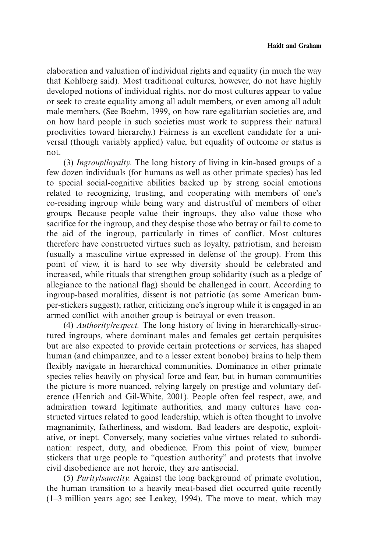elaboration and valuation of individual rights and equality (in much the way that Kohlberg said). Most traditional cultures, however, do not have highly developed notions of individual rights, nor do most cultures appear to value or seek to create equality among all adult members, or even among all adult male members. (See Boehm, 1999, on how rare egalitarian societies are, and on how hard people in such societies must work to suppress their natural proclivities toward hierarchy.) Fairness is an excellent candidate for a universal (though variably applied) value, but equality of outcome or status is not.

(3) Ingroup/loyalty. The long history of living in kin-based groups of a few dozen individuals (for humans as well as other primate species) has led to special social-cognitive abilities backed up by strong social emotions related to recognizing, trusting, and cooperating with members of one's co-residing ingroup while being wary and distrustful of members of other groups. Because people value their ingroups, they also value those who sacrifice for the ingroup, and they despise those who betray or fail to come to the aid of the ingroup, particularly in times of conflict. Most cultures therefore have constructed virtues such as loyalty, patriotism, and heroism (usually a masculine virtue expressed in defense of the group). From this point of view, it is hard to see why diversity should be celebrated and increased, while rituals that strengthen group solidarity (such as a pledge of allegiance to the national flag) should be challenged in court. According to ingroup-based moralities, dissent is not patriotic (as some American bumper-stickers suggest); rather, criticizing one's ingroup while it is engaged in an armed conflict with another group is betrayal or even treason.

(4) Authority/respect. The long history of living in hierarchically-structured ingroups, where dominant males and females get certain perquisites but are also expected to provide certain protections or services, has shaped human (and chimpanzee, and to a lesser extent bonobo) brains to help them flexibly navigate in hierarchical communities. Dominance in other primate species relies heavily on physical force and fear, but in human communities the picture is more nuanced, relying largely on prestige and voluntary deference (Henrich and Gil-White, 2001). People often feel respect, awe, and admiration toward legitimate authorities, and many cultures have constructed virtues related to good leadership, which is often thought to involve magnanimity, fatherliness, and wisdom. Bad leaders are despotic, exploitative, or inept. Conversely, many societies value virtues related to subordination: respect, duty, and obedience. From this point of view, bumper stickers that urge people to "question authority" and protests that involve civil disobedience are not heroic, they are antisocial.

(5) Purity/sanctity. Against the long background of primate evolution, the human transition to a heavily meat-based diet occurred quite recently (1–3 million years ago; see Leakey, 1994). The move to meat, which may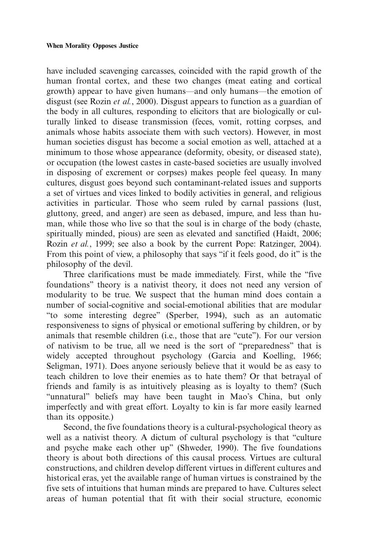have included scavenging carcasses, coincided with the rapid growth of the human frontal cortex, and these two changes (meat eating and cortical growth) appear to have given humans—and only humans—the emotion of disgust (see Rozin *et al.*, 2000). Disgust appears to function as a guardian of the body in all cultures, responding to elicitors that are biologically or culturally linked to disease transmission (feces, vomit, rotting corpses, and animals whose habits associate them with such vectors). However, in most human societies disgust has become a social emotion as well, attached at a minimum to those whose appearance (deformity, obesity, or diseased state), or occupation (the lowest castes in caste-based societies are usually involved in disposing of excrement or corpses) makes people feel queasy. In many cultures, disgust goes beyond such contaminant-related issues and supports a set of virtues and vices linked to bodily activities in general, and religious activities in particular. Those who seem ruled by carnal passions (lust, gluttony, greed, and anger) are seen as debased, impure, and less than human, while those who live so that the soul is in charge of the body (chaste, spiritually minded, pious) are seen as elevated and sanctified (Haidt, 2006; Rozin *et al.*, 1999; see also a book by the current Pope: Ratzinger, 2004). From this point of view, a philosophy that says "if it feels good, do it" is the philosophy of the devil.

Three clarifications must be made immediately. First, while the "five foundations" theory is a nativist theory, it does not need any version of modularity to be true. We suspect that the human mind does contain a number of social-cognitive and social-emotional abilities that are modular "to some interesting degree" (Sperber, 1994), such as an automatic responsiveness to signs of physical or emotional suffering by children, or by animals that resemble children (i.e., those that are "cute"). For our version of nativism to be true, all we need is the sort of "preparedness" that is widely accepted throughout psychology (Garcia and Koelling, 1966; Seligman, 1971). Does anyone seriously believe that it would be as easy to teach children to love their enemies as to hate them? Or that betrayal of friends and family is as intuitively pleasing as is loyalty to them? (Such "unnatural" beliefs may have been taught in Mao's China, but only imperfectly and with great effort. Loyalty to kin is far more easily learned than its opposite.)

Second, the five foundations theory is a cultural-psychological theory as well as a nativist theory. A dictum of cultural psychology is that "culture and psyche make each other up" (Shweder, 1990). The five foundations theory is about both directions of this causal process. Virtues are cultural constructions, and children develop different virtues in different cultures and historical eras, yet the available range of human virtues is constrained by the five sets of intuitions that human minds are prepared to have. Cultures select areas of human potential that fit with their social structure, economic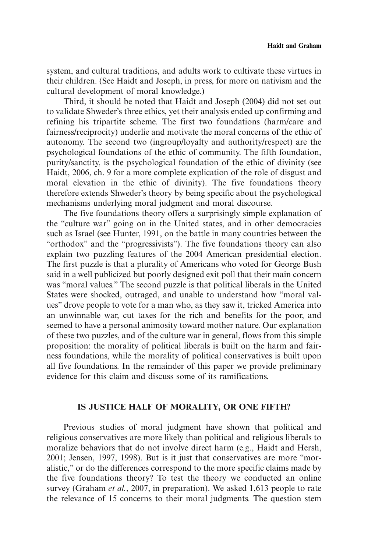system, and cultural traditions, and adults work to cultivate these virtues in their children. (See Haidt and Joseph, in press, for more on nativism and the cultural development of moral knowledge.)

Third, it should be noted that Haidt and Joseph (2004) did not set out to validate Shweder's three ethics, yet their analysis ended up confirming and refining his tripartite scheme. The first two foundations (harm/care and fairness/reciprocity) underlie and motivate the moral concerns of the ethic of autonomy. The second two (ingroup/loyalty and authority/respect) are the psychological foundations of the ethic of community. The fifth foundation, purity/sanctity, is the psychological foundation of the ethic of divinity (see Haidt, 2006, ch. 9 for a more complete explication of the role of disgust and moral elevation in the ethic of divinity). The five foundations theory therefore extends Shweder's theory by being specific about the psychological mechanisms underlying moral judgment and moral discourse.

The five foundations theory offers a surprisingly simple explanation of the "culture war" going on in the United states, and in other democracies such as Israel (see Hunter, 1991, on the battle in many countries between the "orthodox" and the "progressivists"). The five foundations theory can also explain two puzzling features of the 2004 American presidential election. The first puzzle is that a plurality of Americans who voted for George Bush said in a well publicized but poorly designed exit poll that their main concern was "moral values." The second puzzle is that political liberals in the United States were shocked, outraged, and unable to understand how "moral values" drove people to vote for a man who, as they saw it, tricked America into an unwinnable war, cut taxes for the rich and benefits for the poor, and seemed to have a personal animosity toward mother nature. Our explanation of these two puzzles, and of the culture war in general, flows from this simple proposition: the morality of political liberals is built on the harm and fairness foundations, while the morality of political conservatives is built upon all five foundations. In the remainder of this paper we provide preliminary evidence for this claim and discuss some of its ramifications.

## IS JUSTICE HALF OF MORALITY, OR ONE FIFTH?

Previous studies of moral judgment have shown that political and religious conservatives are more likely than political and religious liberals to moralize behaviors that do not involve direct harm (e.g., Haidt and Hersh, 2001; Jensen, 1997, 1998). But is it just that conservatives are more "moralistic," or do the differences correspond to the more specific claims made by the five foundations theory? To test the theory we conducted an online survey (Graham et al., 2007, in preparation). We asked 1,613 people to rate the relevance of 15 concerns to their moral judgments. The question stem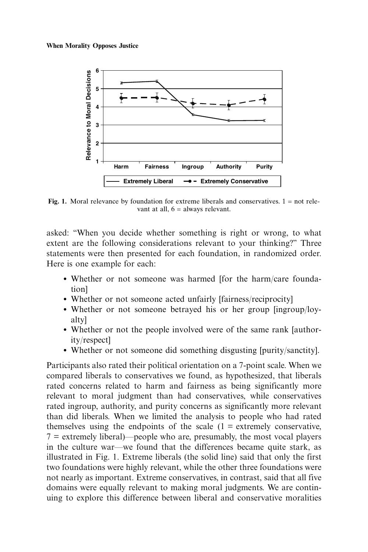

Fig. 1. Moral relevance by foundation for extreme liberals and conservatives.  $1 = not$  relevant at all,  $6 =$  always relevant.

asked: "When you decide whether something is right or wrong, to what extent are the following considerations relevant to your thinking?" Three statements were then presented for each foundation, in randomized order. Here is one example for each:

- Whether or not someone was harmed [for the harm/care foundation]
- Whether or not someone acted unfairly [fairness/reciprocity]
- Whether or not someone betrayed his or her group [ingroup/loyalty]
- Whether or not the people involved were of the same rank [authority/respect]
- Whether or not someone did something disgusting [purity/sanctity].

Participants also rated their political orientation on a 7-point scale. When we compared liberals to conservatives we found, as hypothesized, that liberals rated concerns related to harm and fairness as being significantly more relevant to moral judgment than had conservatives, while conservatives rated ingroup, authority, and purity concerns as significantly more relevant than did liberals. When we limited the analysis to people who had rated themselves using the endpoints of the scale  $(1 =$  extremely conservative, 7 = extremely liberal)—people who are, presumably, the most vocal players in the culture war—we found that the differences became quite stark, as illustrated in Fig. 1. Extreme liberals (the solid line) said that only the first two foundations were highly relevant, while the other three foundations were not nearly as important. Extreme conservatives, in contrast, said that all five domains were equally relevant to making moral judgments. We are continuing to explore this difference between liberal and conservative moralities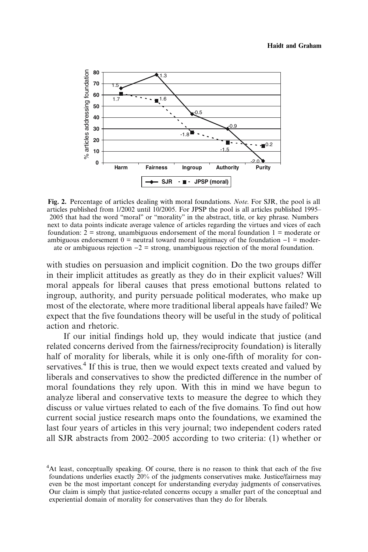

Fig. 2. Percentage of articles dealing with moral foundations. Note. For SJR, the pool is all articles published from 1/2002 until 10/2005. For JPSP the pool is all articles published 1995– 2005 that had the word "moral" or "morality" in the abstract, title, or key phrase. Numbers next to data points indicate average valence of articles regarding the virtues and vices of each foundation:  $2 =$  strong, unambiguous endorsement of the moral foundation  $1 =$  moderate or ambiguous endorsement  $0 =$  neutral toward moral legitimacy of the foundation  $-1 =$  moderate or ambiguous rejection  $-2$  = strong, unambiguous rejection of the moral foundation.

with studies on persuasion and implicit cognition. Do the two groups differ in their implicit attitudes as greatly as they do in their explicit values? Will moral appeals for liberal causes that press emotional buttons related to ingroup, authority, and purity persuade political moderates, who make up most of the electorate, where more traditional liberal appeals have failed? We expect that the five foundations theory will be useful in the study of political action and rhetoric.

If our initial findings hold up, they would indicate that justice (and related concerns derived from the fairness/reciprocity foundation) is literally half of morality for liberals, while it is only one-fifth of morality for conservatives.<sup>4</sup> If this is true, then we would expect texts created and valued by liberals and conservatives to show the predicted difference in the number of moral foundations they rely upon. With this in mind we have begun to analyze liberal and conservative texts to measure the degree to which they discuss or value virtues related to each of the five domains. To find out how current social justice research maps onto the foundations, we examined the last four years of articles in this very journal; two independent coders rated all SJR abstracts from 2002–2005 according to two criteria: (1) whether or

<sup>&</sup>lt;sup>4</sup>At least, conceptually speaking. Of course, there is no reason to think that each of the five foundations underlies exactly 20% of the judgments conservatives make. Justice/fairness may even be the most important concept for understanding everyday judgments of conservatives. Our claim is simply that justice-related concerns occupy a smaller part of the conceptual and experiential domain of morality for conservatives than they do for liberals.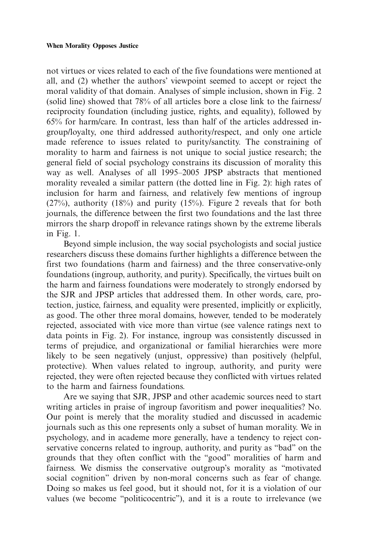not virtues or vices related to each of the five foundations were mentioned at all, and (2) whether the authors' viewpoint seemed to accept or reject the moral validity of that domain. Analyses of simple inclusion, shown in Fig. 2 (solid line) showed that 78% of all articles bore a close link to the fairness/ reciprocity foundation (including justice, rights, and equality), followed by 65% for harm/care. In contrast, less than half of the articles addressed ingroup/loyalty, one third addressed authority/respect, and only one article made reference to issues related to purity/sanctity. The constraining of morality to harm and fairness is not unique to social justice research; the general field of social psychology constrains its discussion of morality this way as well. Analyses of all 1995–2005 JPSP abstracts that mentioned morality revealed a similar pattern (the dotted line in Fig. 2): high rates of inclusion for harm and fairness, and relatively few mentions of ingroup  $(27\%)$ , authority  $(18\%)$  and purity  $(15\%)$ . Figure 2 reveals that for both journals, the difference between the first two foundations and the last three mirrors the sharp dropoff in relevance ratings shown by the extreme liberals in Fig. 1.

Beyond simple inclusion, the way social psychologists and social justice researchers discuss these domains further highlights a difference between the first two foundations (harm and fairness) and the three conservative-only foundations (ingroup, authority, and purity). Specifically, the virtues built on the harm and fairness foundations were moderately to strongly endorsed by the SJR and JPSP articles that addressed them. In other words, care, protection, justice, fairness, and equality were presented, implicitly or explicitly, as good. The other three moral domains, however, tended to be moderately rejected, associated with vice more than virtue (see valence ratings next to data points in Fig. 2). For instance, ingroup was consistently discussed in terms of prejudice, and organizational or familial hierarchies were more likely to be seen negatively (unjust, oppressive) than positively (helpful, protective). When values related to ingroup, authority, and purity were rejected, they were often rejected because they conflicted with virtues related to the harm and fairness foundations.

Are we saying that SJR, JPSP and other academic sources need to start writing articles in praise of ingroup favoritism and power inequalities? No. Our point is merely that the morality studied and discussed in academic journals such as this one represents only a subset of human morality. We in psychology, and in academe more generally, have a tendency to reject conservative concerns related to ingroup, authority, and purity as "bad" on the grounds that they often conflict with the "good" moralities of harm and fairness. We dismiss the conservative outgroup's morality as "motivated social cognition" driven by non-moral concerns such as fear of change. Doing so makes us feel good, but it should not, for it is a violation of our values (we become "politicocentric"), and it is a route to irrelevance (we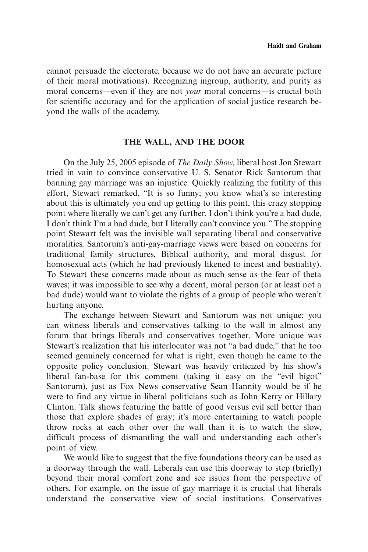cannot persuade the electorate, because we do not have an accurate picture of their moral motivations). Recognizing ingroup, authority, and purity as moral concerns—even if they are not *your* moral concerns—is crucial both for scientific accuracy and for the application of social justice research beyond the walls of the academy.

# THE WALL, AND THE DOOR

On the July 25, 2005 episode of The Daily Show, liberal host Jon Stewart tried in vain to convince conservative U. S. Senator Rick Santorum that banning gay marriage was an injustice. Quickly realizing the futility of this effort, Stewart remarked, "It is so funny; you know what's so interesting about this is ultimately you end up getting to this point, this crazy stopping point where literally we can't get any further. I don't think you're a bad dude, I don't think I'm a bad dude, but I literally can't convince you." The stopping point Stewart felt was the invisible wall separating liberal and conservative moralities. Santorum's anti-gay-marriage views were based on concerns for traditional family structures, Biblical authority, and moral disgust for homosexual acts (which he had previously likened to incest and bestiality). To Stewart these concerns made about as much sense as the fear of theta waves; it was impossible to see why a decent, moral person (or at least not a bad dude) would want to violate the rights of a group of people who weren't hurting anyone.

The exchange between Stewart and Santorum was not unique; you can witness liberals and conservatives talking to the wall in almost any forum that brings liberals and conservatives together. More unique was Stewart's realization that his interlocutor was not "a bad dude," that he too seemed genuinely concerned for what is right, even though he came to the opposite policy conclusion. Stewart was heavily criticized by his show's liberal fan-base for this comment (taking it easy on the "evil bigot" Santorum), just as Fox News conservative Sean Hannity would be if he were to find any virtue in liberal politicians such as John Kerry or Hillary Clinton. Talk shows featuring the battle of good versus evil sell better than those that explore shades of gray; it's more entertaining to watch people throw rocks at each other over the wall than it is to watch the slow, difficult process of dismantling the wall and understanding each other's point of view.

We would like to suggest that the five foundations theory can be used as a doorway through the wall. Liberals can use this doorway to step (briefly) beyond their moral comfort zone and see issues from the perspective of others. For example, on the issue of gay marriage it is crucial that liberals understand the conservative view of social institutions. Conservatives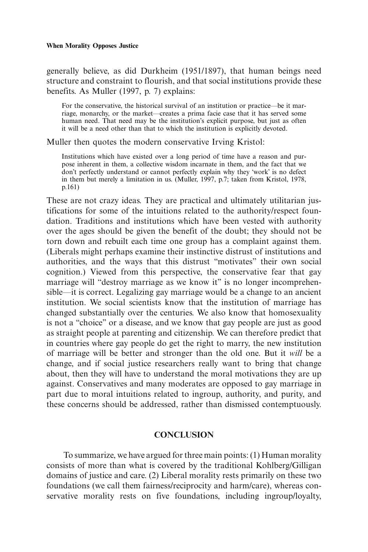generally believe, as did Durkheim (1951/1897), that human beings need structure and constraint to flourish, and that social institutions provide these benefits. As Muller (1997, p. 7) explains:

For the conservative, the historical survival of an institution or practice—be it marriage, monarchy, or the market—creates a prima facie case that it has served some human need. That need may be the institution's explicit purpose, but just as often it will be a need other than that to which the institution is explicitly devoted.

Muller then quotes the modern conservative Irving Kristol:

Institutions which have existed over a long period of time have a reason and purpose inherent in them, a collective wisdom incarnate in them, and the fact that we don't perfectly understand or cannot perfectly explain why they 'work' is no defect in them but merely a limitation in us. (Muller, 1997, p.7; taken from Kristol, 1978, p.161)

These are not crazy ideas. They are practical and ultimately utilitarian justifications for some of the intuitions related to the authority/respect foundation. Traditions and institutions which have been vested with authority over the ages should be given the benefit of the doubt; they should not be torn down and rebuilt each time one group has a complaint against them. (Liberals might perhaps examine their instinctive distrust of institutions and authorities, and the ways that this distrust "motivates" their own social cognition.) Viewed from this perspective, the conservative fear that gay marriage will "destroy marriage as we know it" is no longer incomprehensible—it is correct. Legalizing gay marriage would be a change to an ancient institution. We social scientists know that the institution of marriage has changed substantially over the centuries. We also know that homosexuality is not a "choice" or a disease, and we know that gay people are just as good as straight people at parenting and citizenship. We can therefore predict that in countries where gay people do get the right to marry, the new institution of marriage will be better and stronger than the old one. But it will be a change, and if social justice researchers really want to bring that change about, then they will have to understand the moral motivations they are up against. Conservatives and many moderates are opposed to gay marriage in part due to moral intuitions related to ingroup, authority, and purity, and these concerns should be addressed, rather than dismissed contemptuously.

# **CONCLUSION**

To summarize, we have argued for three main points: (1) Human morality consists of more than what is covered by the traditional Kohlberg/Gilligan domains of justice and care. (2) Liberal morality rests primarily on these two foundations (we call them fairness/reciprocity and harm/care), whereas conservative morality rests on five foundations, including ingroup/loyalty,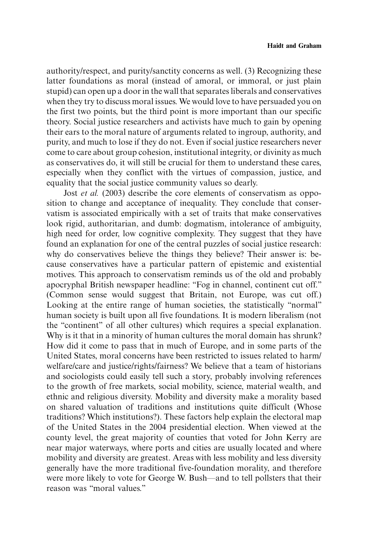authority/respect, and purity/sanctity concerns as well. (3) Recognizing these latter foundations as moral (instead of amoral, or immoral, or just plain stupid) can open up a door in the wall that separates liberals and conservatives when they try to discuss moral issues. We would love to have persuaded you on the first two points, but the third point is more important than our specific theory. Social justice researchers and activists have much to gain by opening their ears to the moral nature of arguments related to ingroup, authority, and purity, and much to lose if they do not. Even if social justice researchers never come to care about group cohesion, institutional integrity, or divinity as much as conservatives do, it will still be crucial for them to understand these cares, especially when they conflict with the virtues of compassion, justice, and equality that the social justice community values so dearly.

Jost et al. (2003) describe the core elements of conservatism as opposition to change and acceptance of inequality. They conclude that conservatism is associated empirically with a set of traits that make conservatives look rigid, authoritarian, and dumb: dogmatism, intolerance of ambiguity, high need for order, low cognitive complexity. They suggest that they have found an explanation for one of the central puzzles of social justice research: why do conservatives believe the things they believe? Their answer is: because conservatives have a particular pattern of epistemic and existential motives. This approach to conservatism reminds us of the old and probably apocryphal British newspaper headline: "Fog in channel, continent cut off." (Common sense would suggest that Britain, not Europe, was cut off.) Looking at the entire range of human societies, the statistically "normal" human society is built upon all five foundations. It is modern liberalism (not the "continent" of all other cultures) which requires a special explanation. Why is it that in a minority of human cultures the moral domain has shrunk? How did it come to pass that in much of Europe, and in some parts of the United States, moral concerns have been restricted to issues related to harm/ welfare/care and justice/rights/fairness? We believe that a team of historians and sociologists could easily tell such a story, probably involving references to the growth of free markets, social mobility, science, material wealth, and ethnic and religious diversity. Mobility and diversity make a morality based on shared valuation of traditions and institutions quite difficult (Whose traditions? Which institutions?). These factors help explain the electoral map of the United States in the 2004 presidential election. When viewed at the county level, the great majority of counties that voted for John Kerry are near major waterways, where ports and cities are usually located and where mobility and diversity are greatest. Areas with less mobility and less diversity generally have the more traditional five-foundation morality, and therefore were more likely to vote for George W. Bush—and to tell pollsters that their reason was "moral values."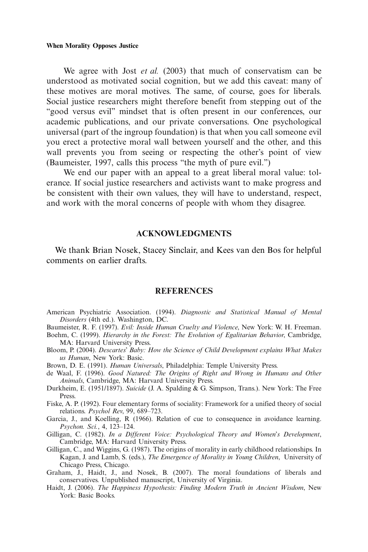#### When Morality Opposes Justice

We agree with Jost *et al.* (2003) that much of conservatism can be understood as motivated social cognition, but we add this caveat: many of these motives are moral motives. The same, of course, goes for liberals. Social justice researchers might therefore benefit from stepping out of the "good versus evil" mindset that is often present in our conferences, our academic publications, and our private conversations. One psychological universal (part of the ingroup foundation) is that when you call someone evil you erect a protective moral wall between yourself and the other, and this wall prevents you from seeing or respecting the other's point of view (Baumeister, 1997, calls this process "the myth of pure evil.")

We end our paper with an appeal to a great liberal moral value: tolerance. If social justice researchers and activists want to make progress and be consistent with their own values, they will have to understand, respect, and work with the moral concerns of people with whom they disagree.

## ACKNOWLEDGMENTS

We thank Brian Nosek, Stacey Sinclair, and Kees van den Bos for helpful comments on earlier drafts.

## **REFERENCES**

- American Psychiatric Association. (1994). Diagnostic and Statistical Manual of Mental Disorders (4th ed.). Washington, DC.
- Baumeister, R. F. (1997). Evil: Inside Human Cruelty and Violence, New York: W. H. Freeman.
- Boehm, C. (1999). Hierarchy in the Forest: The Evolution of Egalitarian Behavior, Cambridge, MA: Harvard University Press.
- Bloom, P. (2004). Descartes' Baby: How the Science of Child Development explains What Makes us Human, New York: Basic.
- Brown, D. E. (1991). *Human Universals*, Philadelphia: Temple University Press.
- de Waal, F. (1996). Good Natured: The Origins of Right and Wrong in Humans and Other Animals, Cambridge, MA: Harvard University Press.
- Durkheim, E. (1951/1897). Suicide (J. A. Spalding & G. Simpson, Trans.). New York: The Free Press.
- Fiske, A. P. (1992). Four elementary forms of sociality: Framework for a unified theory of social relations. Psychol Rev, 99, 689–723.
- Garcia, J., and Koelling, R (1966). Relation of cue to consequence in avoidance learning. Psychon. Sci., 4, 123–124.
- Gilligan, C. (1982). In a Different Voice: Psychological Theory and Women's Development, Cambridge, MA: Harvard University Press.
- Gilligan, C., and Wiggins, G. (1987). The origins of morality in early childhood relationships. In Kagan, J. and Lamb, S. (eds.), The Emergence of Morality in Young Children, University of Chicago Press, Chicago.
- Graham, J., Haidt, J., and Nosek, B. (2007). The moral foundations of liberals and conservatives. Unpublished manuscript, University of Virginia.
- Haidt, J. (2006). The Happiness Hypothesis: Finding Modern Truth in Ancient Wisdom, New York: Basic Books.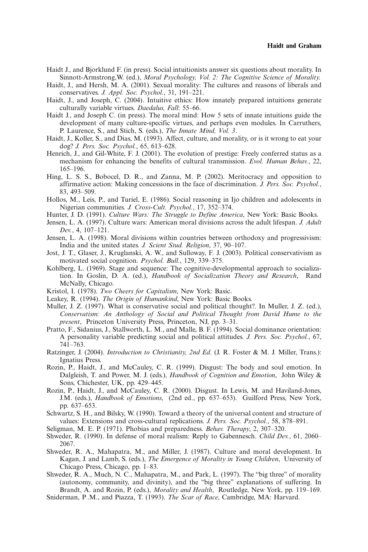- Haidt J., and Bjorklund F. (in press). Social intuitionists answer six questions about morality. In Sinnott-Armstrong, W. (ed.), Moral Psychology, Vol. 2: The Cognitive Science of Morality.
- Haidt, J., and Hersh, M. A. (2001). Sexual morality: The cultures and reasons of liberals and conservatives. J. Appl. Soc. Psychol., 31, 191–221.
- Haidt, J., and Joseph, C. (2004). Intuitive ethics: How innately prepared intuitions generate culturally variable virtues. Daedalus, Fall: 55–66.
- Haidt J., and Joseph C. (in press). The moral mind: How 5 sets of innate intuitions guide the development of many culture-specific virtues, and perhaps even modules. In Carruthers, P. Laurence, S., and Stich, S. (eds.), The Innate Mind, Vol. 3.
- Haidt, J., Koller, S., and Dias, M. (1993). Affect, culture, and morality, or is it wrong to eat your dog? J. Pers. Soc. Psychol., 65, 613–628.
- Henrich, J., and Gil-White, F. J. (2001). The evolution of prestige: Freely conferred status as a mechanism for enhancing the benefits of cultural transmission. Evol. Human Behav., 22, 165–196.
- Hing, L. S. S., Bobocel, D. R., and Zanna, M. P. (2002). Meritocracy and opposition to affirmative action: Making concessions in the face of discrimination. J. Pers. Soc. Psychol., 83, 493–509.
- Hollos, M., Leis, P., and Turiel, E. (1986). Social reasoning in Ijo children and adolescents in Nigerian communities. J. Cross-Cult. Psychol., 17, 352–374.
- Hunter, J. D. (1991). Culture Wars: The Struggle to Define America, New York: Basic Books.
- Jensen, L. A. (1997). Culture wars: American moral divisions across the adult lifespan. J. Adult Dev., 4, 107–121.
- Jensen, L. A. (1998). Moral divisions within countries between orthodoxy and progressivism: India and the united states. J. Scient Stud. Religion, 37, 90–107.
- Jost, J. T., Glaser, J., Kruglanski, A. W., and Sulloway, F. J. (2003). Political conservativism as motivated social cognition. Psychol. Bull., 129, 339–375.
- Kohlberg, L. (1969). Stage and sequence: The cognitive-developmental approach to socialization. In Goslin, D. A. (ed.), Handbook of Socialization Theory and Research, Rand McNally, Chicago.
- Kristol, I. (1978). Two Cheers for Capitalism, New York: Basic.
- Leakey, R. (1994). The Origin of Humankind, New York: Basic Books.
- Muller, J. Z. (1997). What is conservative social and political thought?. In Muller, J. Z. (ed.), Conservatism: An Anthology of Social and Political Thought from David Hume to the present, Princeton University Press, Princeton, NJ, pp. 3–31.
- Pratto, F., Sidanius, J., Stallworth, L. M., and Malle, B. F. (1994). Social dominance orientation: A personality variable predicting social and political attitudes. J. Pers. Soc. Psychol., 67,  $74\overline{1} - 763.$
- Ratzinger, J. (2004). *Introduction to Christianity, 2nd Ed.* (J. R. Foster & M. J. Miller, Trans.): Ignatius Press.
- Rozin, P., Haidt, J., and McCauley, C. R. (1999). Disgust: The body and soul emotion. In Dalgleish, T. and Power, M. J. (eds.), Handbook of Cognition and Emotion, John Wiley & Sons, Chichester, UK, pp. 429–445.
- Rozin, P., Haidt, J., and McCauley, C. R. (2000). Disgust. In Lewis, M. and Haviland-Jones, J.M. (eds.), Handbook of Emotions, (2nd ed., pp. 637–653). Guilford Press, New York, pp. 637–653.
- Schwartz, S. H., and Bilsky, W. (1990). Toward a theory of the universal content and structure of values: Extensions and cross-cultural replications. J. Pers. Soc. Psychol., 58, 878–891.
- Seligman, M. E. P. (1971). Phobias and preparedness. Behav. Therapy, 2, 307-320.
- Shweder, R. (1990). In defense of moral realism: Reply to Gabennesch. Child Dev., 61, 2060– 2067.
- Shweder, R. A., Mahapatra, M., and Miller, J. (1987). Culture and moral development. In Kagan, J. and Lamb, S. (eds.), The Emergence of Morality in Young Children, University of Chicago Press, Chicago, pp. 1–83.
- Shweder, R. A., Much, N. C., Mahapatra, M., and Park, L. (1997). The "big three" of morality (autonomy, community, and divinity), and the "big three" explanations of suffering. In Brandt, A. and Rozin, P. (eds.), *Morality and Health*, Routledge, New York, pp. 119–169. Sniderman, P .M., and Piazza, T. (1993). The Scar of Race, Cambridge, MA: Harvard.